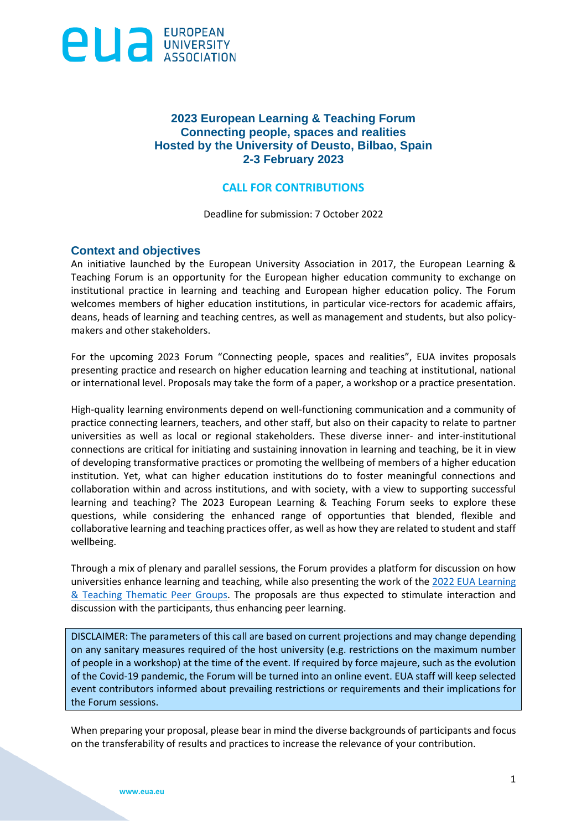

## **2023 European Learning & Teaching Forum Connecting people, spaces and realities Hosted by the University of Deusto, Bilbao, Spain 2-3 February 2023**

#### **CALL FOR CONTRIBUTIONS**

Deadline for submission: 7 October 2022

### **Context and objectives**

An initiative launched by the European University Association in 2017, the European Learning & Teaching Forum is an opportunity for the European higher education community to exchange on institutional practice in learning and teaching and European higher education policy. The Forum welcomes members of higher education institutions, in particular vice-rectors for academic affairs, deans, heads of learning and teaching centres, as well as management and students, but also policymakers and other stakeholders.

For the upcoming 2023 Forum "Connecting people, spaces and realities", EUA invites proposals presenting practice and research on higher education learning and teaching at institutional, national or international level. Proposals may take the form of a paper, a workshop or a practice presentation.

High-quality learning environments depend on well-functioning communication and a community of practice connecting learners, teachers, and other staff, but also on their capacity to relate to partner universities as well as local or regional stakeholders. These diverse inner- and inter-institutional connections are critical for initiating and sustaining innovation in learning and teaching, be it in view of developing transformative practices or promoting the wellbeing of members of a higher education institution. Yet, what can higher education institutions do to foster meaningful connections and collaboration within and across institutions, and with society, with a view to supporting successful learning and teaching? The 2023 European Learning & Teaching Forum seeks to explore these questions, while considering the enhanced range of opportunties that blended, flexible and collaborative learning and teaching practices offer, as well as how they are related to student and staff wellbeing.

Through a mix of plenary and parallel sessions, the Forum provides a platform for discussion on how universities enhance learning and teaching, while also presenting the work of the 2022 [EUA Learning](https://eua.eu/101-projects/540-learning-teaching-thematic-peer-groups.html)  [& Teaching Thematic Peer Groups.](https://eua.eu/101-projects/540-learning-teaching-thematic-peer-groups.html) The proposals are thus expected to stimulate interaction and discussion with the participants, thus enhancing peer learning.

DISCLAIMER: The parameters of this call are based on current projections and may change depending on any sanitary measures required of the host university (e.g. restrictions on the maximum number of people in a workshop) at the time of the event. If required by force majeure, such as the evolution of the Covid-19 pandemic, the Forum will be turned into an online event. EUA staff will keep selected event contributors informed about prevailing restrictions or requirements and their implications for the Forum sessions.

When preparing your proposal, please bear in mind the diverse backgrounds of participants and focus on the transferability of results and practices to increase the relevance of your contribution.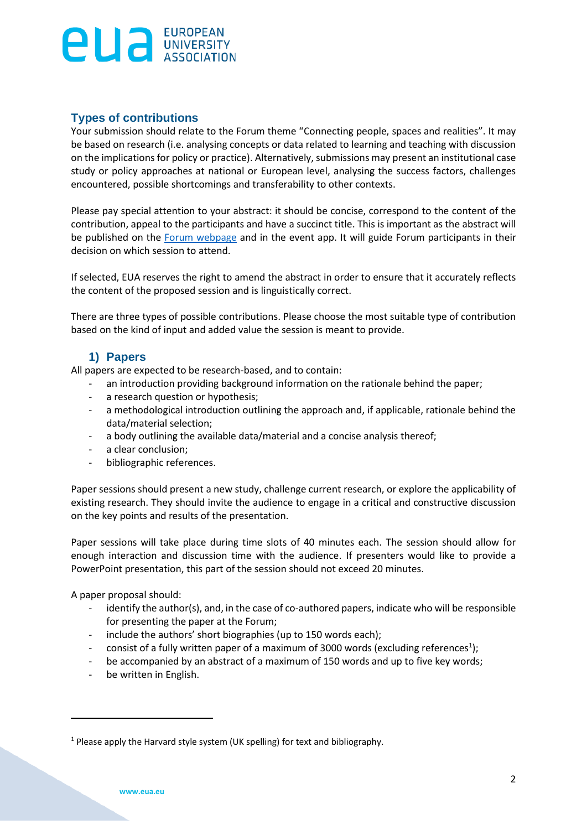## **Types of contributions**

Your submission should relate to the Forum theme "Connecting people, spaces and realities". It may be based on research (i.e. analysing concepts or data related to learning and teaching with discussion on the implications for policy or practice). Alternatively, submissions may present an institutional case study or policy approaches at national or European level, analysing the success factors, challenges encountered, possible shortcomings and transferability to other contexts.

Please pay special attention to your abstract: it should be concise, correspond to the content of the contribution, appeal to the participants and have a succinct title. This is important as the abstract will be published on the [Forum webpage](https://eua.eu/events/238-2023-european-learning-teaching-forum.html) and in the event app. It will guide Forum participants in their decision on which session to attend.

If selected, EUA reserves the right to amend the abstract in order to ensure that it accurately reflects the content of the proposed session and is linguistically correct.

There are three types of possible contributions. Please choose the most suitable type of contribution based on the kind of input and added value the session is meant to provide.

## **1) Papers**

All papers are expected to be research-based, and to contain:

- an introduction providing background information on the rationale behind the paper;
- a research question or hypothesis;
- a methodological introduction outlining the approach and, if applicable, rationale behind the data/material selection;
- a body outlining the available data/material and a concise analysis thereof;
- a clear conclusion;
- bibliographic references.

Paper sessions should present a new study, challenge current research, or explore the applicability of existing research. They should invite the audience to engage in a critical and constructive discussion on the key points and results of the presentation.

Paper sessions will take place during time slots of 40 minutes each. The session should allow for enough interaction and discussion time with the audience. If presenters would like to provide a PowerPoint presentation, this part of the session should not exceed 20 minutes.

A paper proposal should:

- identify the author(s), and, in the case of co-authored papers, indicate who will be responsible for presenting the paper at the Forum;
- include the authors' short biographies (up to 150 words each);
- consist of a fully written paper of a maximum of 3000 words (excluding references<sup>1</sup>);
- be accompanied by an abstract of a maximum of 150 words and up to five key words;
- be written in English.

<sup>&</sup>lt;sup>1</sup> Please apply the Harvard style system (UK spelling) for text and bibliography.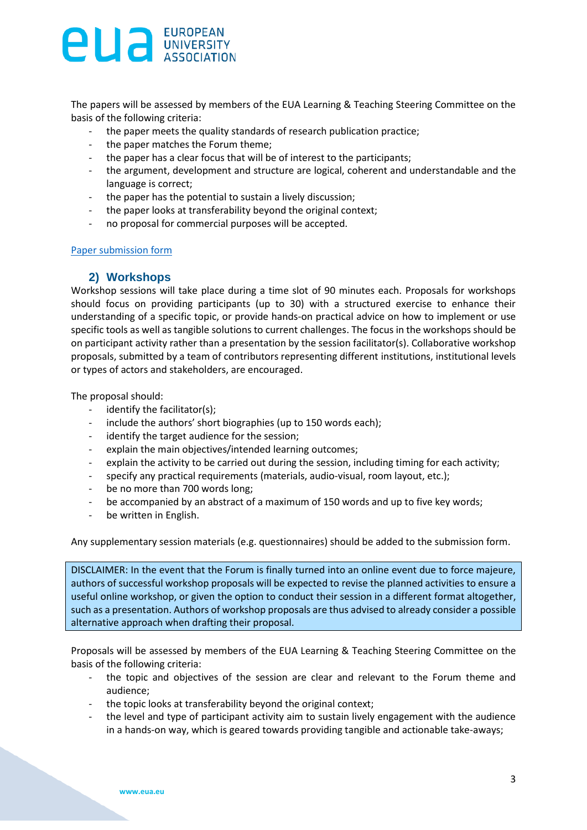The papers will be assessed by members of the EUA Learning & Teaching Steering Committee on the basis of the following criteria:

- the paper meets the quality standards of research publication practice;
- the paper matches the Forum theme;
- the paper has a clear focus that will be of interest to the participants;
- the argument, development and structure are logical, coherent and understandable and the language is correct;
- the paper has the potential to sustain a lively discussion;
- the paper looks at transferability beyond the original context;
- no proposal for commercial purposes will be accepted.

#### [Paper submission form](https://www.eua.eu/index.php?option=com_attachments&task=download&id=3752:2023-LT-Forum_Paper-submission-form)

### **2) Workshops**

Workshop sessions will take place during a time slot of 90 minutes each. Proposals for workshops should focus on providing participants (up to 30) with a structured exercise to enhance their understanding of a specific topic, or provide hands-on practical advice on how to implement or use specific tools as well as tangible solutions to current challenges. The focus in the workshops should be on participant activity rather than a presentation by the session facilitator(s). Collaborative workshop proposals, submitted by a team of contributors representing different institutions, institutional levels or types of actors and stakeholders, are encouraged.

The proposal should:

- identify the facilitator(s);
- include the authors' short biographies (up to 150 words each);
- identify the target audience for the session;
- explain the main objectives/intended learning outcomes;
- explain the activity to be carried out during the session, including timing for each activity;
- specify any practical requirements (materials, audio-visual, room layout, etc.);
- be no more than 700 words long;
- be accompanied by an abstract of a maximum of 150 words and up to five key words;
- be written in English.

Any supplementary session materials (e.g. questionnaires) should be added to the submission form.

DISCLAIMER: In the event that the Forum is finally turned into an online event due to force majeure, authors of successful workshop proposals will be expected to revise the planned activities to ensure a useful online workshop, or given the option to conduct their session in a different format altogether, such as a presentation. Authors of workshop proposals are thus advised to already consider a possible alternative approach when drafting their proposal.

Proposals will be assessed by members of the EUA Learning & Teaching Steering Committee on the basis of the following criteria:

- the topic and objectives of the session are clear and relevant to the Forum theme and audience;
- the topic looks at transferability beyond the original context;
- the level and type of participant activity aim to sustain lively engagement with the audience in a hands-on way, which is geared towards providing tangible and actionable take-aways;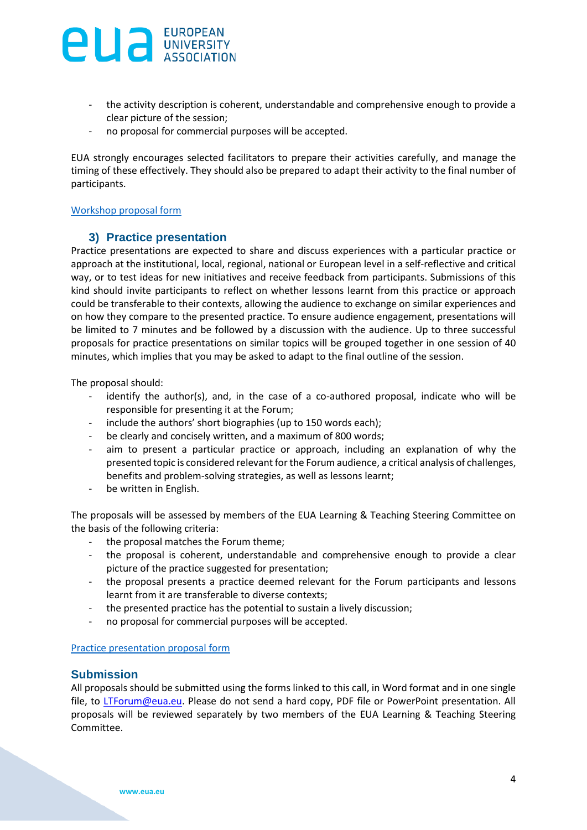- the activity description is coherent, understandable and comprehensive enough to provide a clear picture of the session;
- no proposal for commercial purposes will be accepted.

EUA strongly encourages selected facilitators to prepare their activities carefully, and manage the timing of these effectively. They should also be prepared to adapt their activity to the final number of participants.

#### [Workshop proposal form](https://www.eua.eu/index.php?option=com_attachments&task=download&id=3754:2023-LT-Forum_Workshop-submission-form)

### **3) Practice presentation**

Practice presentations are expected to share and discuss experiences with a particular practice or approach at the institutional, local, regional, national or European level in a self-reflective and critical way, or to test ideas for new initiatives and receive feedback from participants. Submissions of this kind should invite participants to reflect on whether lessons learnt from this practice or approach could be transferable to their contexts, allowing the audience to exchange on similar experiences and on how they compare to the presented practice. To ensure audience engagement, presentations will be limited to 7 minutes and be followed by a discussion with the audience. Up to three successful proposals for practice presentations on similar topics will be grouped together in one session of 40 minutes, which implies that you may be asked to adapt to the final outline of the session.

The proposal should:

- identify the author(s), and, in the case of a co-authored proposal, indicate who will be responsible for presenting it at the Forum;
- include the authors' short biographies (up to 150 words each);
- be clearly and concisely written, and a maximum of 800 words;
- aim to present a particular practice or approach, including an explanation of why the presented topic is considered relevant for the Forum audience, a critical analysis of challenges, benefits and problem-solving strategies, as well as lessons learnt;
- be written in English.

The proposals will be assessed by members of the EUA Learning & Teaching Steering Committee on the basis of the following criteria:

- the proposal matches the Forum theme;
- the proposal is coherent, understandable and comprehensive enough to provide a clear picture of the practice suggested for presentation;
- the proposal presents a practice deemed relevant for the Forum participants and lessons learnt from it are transferable to diverse contexts;
- the presented practice has the potential to sustain a lively discussion;
- no proposal for commercial purposes will be accepted.

#### [Practice presentation proposal form](https://www.eua.eu/index.php?option=com_attachments&task=download&id=3753:2023-LT-Forum_Practice-presentation-submission-form)

### **Submission**

All proposals should be submitted using the forms linked to this call, in Word format and in one single file, to [LTForum@eua.eu.](mailto:LTForum@eua.eu) Please do not send a hard copy, PDF file or PowerPoint presentation. All proposals will be reviewed separately by two members of the EUA Learning & Teaching Steering Committee.